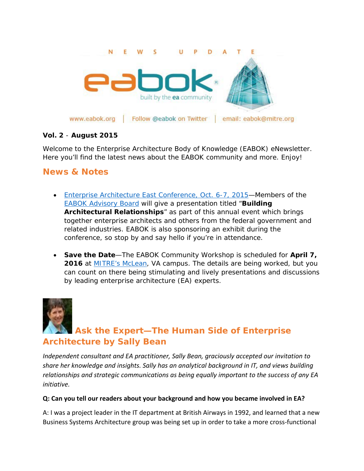

#### **Vol. 2** - **August 2015**

Welcome to the Enterprise Architecture Body of Knowledge (EABOK) eNewsletter. Here you'll find the latest news about the EABOK community and more. Enjoy!

## **News & Notes**

- [Enterprise Architecture East Conference, Oct. 6-7, 2015—](http://goveaconference.com/Events/Enterprise-Architecture-East/Information/Home)Members of the [EABOK Advisory Board](http://www2.mitre.org/public/eabok/leadership.html) will give a presentation titled "**Building Architectural Relationships**" as part of this annual event which brings together enterprise architects and others from the federal government and related industries. EABOK is also sponsoring an exhibit during the conference, so stop by and say hello if you're in attendance.
- **Save the Date**—The EABOK Community Workshop is scheduled for **April 7, 2016** at **MITRE's McLean**, VA campus. The details are being worked, but you can count on there being stimulating and lively presentations and discussions by leading enterprise architecture (EA) experts.



# **Ask the Expert—The Human Side of Enterprise Architecture by Sally Bean**

*Independent consultant and EA practitioner, Sally Bean, graciously accepted our invitation to share her knowledge and insights. Sally has an analytical background in IT, and views building relationships and strategic communications as being equally important to the success of any EA initiative.* 

#### **Q: Can you tell our readers about your background and how you became involved in EA?**

A: I was a project leader in the IT department at British Airways in 1992, and learned that a new Business Systems Architecture group was being set up in order to take a more cross-functional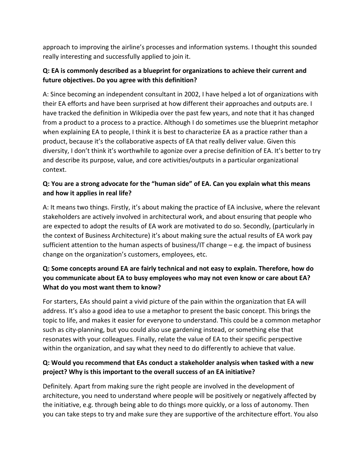approach to improving the airline's processes and information systems. I thought this sounded really interesting and successfully applied to join it.

## **Q: EA is commonly described as a blueprint for organizations to achieve their current and future objectives. Do you agree with this definition?**

A: Since becoming an independent consultant in 2002, I have helped a lot of organizations with their EA efforts and have been surprised at how different their approaches and outputs are. I have tracked the definition in Wikipedia over the past few years, and note that it has changed from a product to a process to a practice. Although I do sometimes use the blueprint metaphor when explaining EA to people, I think it is best to characterize EA as a practice rather than a product, because it's the collaborative aspects of EA that really deliver value. Given this diversity, I don't think it's worthwhile to agonize over a precise definition of EA. It's better to try and describe its purpose, value, and core activities/outputs in a particular organizational context.

## **Q: You are a strong advocate for the "human side" of EA. Can you explain what this means and how it applies in real life?**

A: It means two things. Firstly, it's about making the practice of EA inclusive, where the relevant stakeholders are actively involved in architectural work, and about ensuring that people who are expected to adopt the results of EA work are motivated to do so. Secondly, (particularly in the context of Business Architecture) it's about making sure the actual results of EA work pay sufficient attention to the human aspects of business/IT change – e.g. the impact of business change on the organization's customers, employees, etc.

## **Q: Some concepts around EA are fairly technical and not easy to explain. Therefore, how do you communicate about EA to busy employees who may not even know or care about EA? What do you most want them to know?**

For starters, EAs should paint a vivid picture of the pain within the organization that EA will address. It's also a good idea to use a metaphor to present the basic concept. This brings the topic to life, and makes it easier for everyone to understand. This could be a common metaphor such as city-planning, but you could also use gardening instead, or something else that resonates with your colleagues. Finally, relate the value of EA to their specific perspective within the organization, and say what they need to do differently to achieve that value.

#### **Q: Would you recommend that EAs conduct a stakeholder analysis when tasked with a new project? Why is this important to the overall success of an EA initiative?**

Definitely. Apart from making sure the right people are involved in the development of architecture, you need to understand where people will be positively or negatively affected by the initiative, e.g. through being able to do things more quickly, or a loss of autonomy. Then you can take steps to try and make sure they are supportive of the architecture effort. You also